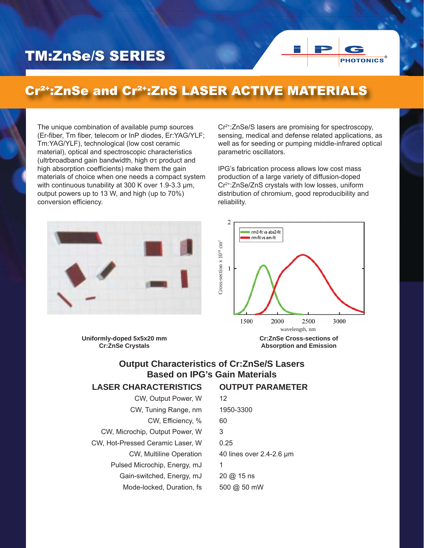# TM:ZnSe/S SERIES

## Cr²+:ZnSe and Cr²+:ZnS LASER ACTIVE MATERIALS

The unique combination of available pump sources (Er-fiber, Tm fiber, telecom or InP diodes, Er:YAG/YLF; Tm:YAG/YLF), technological (low cost ceramic material), optical and spectroscopic characteristics (ultrbroadband gain bandwidth, high στ product and high absorption coefficients) make them the gain materials of choice when one needs a compact system with continuous tunability at 300 K over 1.9-3.3 μm, output powers up to 13 W, and high (up to 70%) conversion efficiency.

Cr2+:ZnSe/S lasers are promising for spectroscopy, sensing, medical and defense related applications, as well as for seeding or pumping middle-infrared optical parametric oscillators.

PHOTONICS®

IPG's fabrication process allows low cost mass production of a large variety of diffusion-doped Cr2+:ZnSe/ZnS crystals with low losses, uniform distribution of chromium, good reproducibility and reliability.



 $\overline{c}$ nm2-fit vs abs2-fit nm-fit vs em-fit Cross-section x 10<sup>18</sup> cm<sup>2</sup>  $C$ ross-section x  $10^{18}$  cm<sup>2</sup>  $\mathbf{1}$ 1500 2000 2500 3000 wavelength, nm **Cr:ZnSe Cross-sections of Absorption and Emission**

**OUTPUT PARAMETER**

**Uniformly-doped 5x5x20 mm Cr:ZnSe Crystals**

### **Output Characteristics of Cr:ZnSe/S Lasers Based on IPG's Gain Materials**

#### **LASER CHARACTERISTICS**

| CW, Output Power, W              | 12                       |
|----------------------------------|--------------------------|
| CW, Tuning Range, nm             | 1950-3300                |
| CW, Efficiency, %                | 60                       |
| CW, Microchip, Output Power, W   | 3                        |
| CW, Hot-Pressed Ceramic Laser, W | 0.25                     |
| CW, Multiline Operation          | 40 lines over 2.4-2.6 µm |
| Pulsed Microchip, Energy, mJ     | 1                        |
| Gain-switched, Energy, mJ        | $20 \omega$ 15 ns        |
| Mode-locked, Duration, fs        | 500 @ 50 mW              |
|                                  |                          |